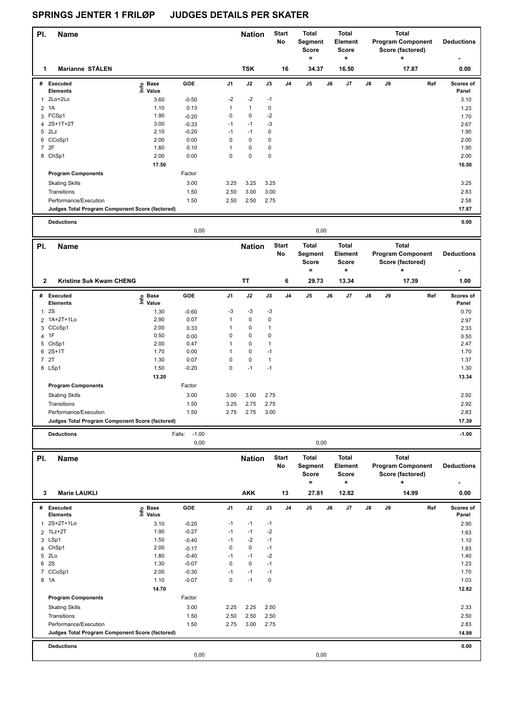| PI.<br><b>Name</b>                              |                   |                           |                    | <b>Nation</b>     |              | <b>Start</b><br>No | <b>Total</b><br>Segment<br>Score<br>$=$ |      | <b>Total</b><br><b>Element</b><br><b>Score</b><br>÷ |    |    | <b>Total</b><br><b>Program Component</b><br>Score (factored)<br>+ | <b>Deductions</b>         |
|-------------------------------------------------|-------------------|---------------------------|--------------------|-------------------|--------------|--------------------|-----------------------------------------|------|-----------------------------------------------------|----|----|-------------------------------------------------------------------|---------------------------|
| Marianne STÅLEN<br>1                            |                   |                           |                    | <b>TSK</b>        |              | 16                 | 34.37                                   |      | 16.50                                               |    |    | 17.87                                                             | 0.00                      |
| # Executed<br><b>Elements</b>                   | e Base<br>⊑ Value | GOE                       | J1                 | J2                | J3           | J4                 | J5                                      | J6   | J7                                                  | J8 | J9 |                                                                   | Ref<br>Scores of<br>Panel |
| 2Lo+2Lo<br>1                                    | 3.60              | $-0.50$                   | -2                 | $-2$              | $-1$         |                    |                                         |      |                                                     |    |    |                                                                   | 3.10                      |
| 1A<br>2                                         | 1.10              | 0.13                      | 1                  | $\mathbf{1}$      | 0            |                    |                                         |      |                                                     |    |    |                                                                   | 1.23                      |
| 3 FCSp1                                         | 1.90              | $-0.20$                   | 0                  | $\pmb{0}$         | $-2$         |                    |                                         |      |                                                     |    |    |                                                                   | 1.70                      |
| 4 2S+1T+2T                                      | 3.00              | $-0.33$                   | $-1$               | $-1$              | $-3$         |                    |                                         |      |                                                     |    |    |                                                                   | 2.67                      |
| 5 2Lz                                           | 2.10              | $-0.20$                   | $-1$               | $-1$              | 0            |                    |                                         |      |                                                     |    |    |                                                                   | 1.90                      |
| CCoSp1<br>6                                     | 2.00              | 0.00                      | 0                  | 0                 | 0            |                    |                                         |      |                                                     |    |    |                                                                   | 2.00                      |
| 7 2F                                            | 1.80              | 0.10                      | $\mathbf{1}$       | 0                 | 0            |                    |                                         |      |                                                     |    |    |                                                                   | 1.90                      |
| 8 ChSp1                                         | 2.00              | 0.00                      | 0                  | $\mathbf 0$       | 0            |                    |                                         |      |                                                     |    |    |                                                                   | 2.00                      |
|                                                 | 17.50             |                           |                    |                   |              |                    |                                         |      |                                                     |    |    |                                                                   | 16.50                     |
| <b>Program Components</b>                       |                   | Factor                    |                    |                   |              |                    |                                         |      |                                                     |    |    |                                                                   |                           |
| <b>Skating Skills</b>                           |                   | 3.00                      | 3.25               | 3.25              | 3.25         |                    |                                         |      |                                                     |    |    |                                                                   | 3.25                      |
| Transitions                                     |                   | 1.50                      | 2.50               | 3.00              | 3.00         |                    |                                         |      |                                                     |    |    |                                                                   | 2.83                      |
| Performance/Execution                           |                   | 1.50                      | 2.50               | 2.50              | 2.75         |                    |                                         |      |                                                     |    |    |                                                                   | 2.58                      |
| Judges Total Program Component Score (factored) |                   |                           |                    |                   |              |                    |                                         |      |                                                     |    |    |                                                                   | 17.87                     |
| <b>Deductions</b>                               |                   |                           |                    |                   |              |                    |                                         |      |                                                     |    |    |                                                                   | 0.00                      |
|                                                 |                   | 0,00                      |                    |                   |              |                    |                                         | 0,00 |                                                     |    |    |                                                                   |                           |
| PI.<br><b>Name</b>                              |                   |                           |                    | <b>Nation</b>     |              | <b>Start</b>       | <b>Total</b>                            |      | <b>Total</b>                                        |    |    | <b>Total</b>                                                      |                           |
|                                                 |                   |                           |                    |                   |              | No                 | Segment<br>Score                        |      | Element<br><b>Score</b>                             |    |    | <b>Program Component</b><br>Score (factored)                      | <b>Deductions</b>         |
|                                                 |                   |                           |                    |                   |              |                    | $=$                                     |      | ٠.                                                  |    |    |                                                                   |                           |
| $\mathbf{2}$<br>Kristine Suk Kwam CHENG         |                   |                           |                    | TT                |              | 6                  | 29.73                                   |      | 13.34                                               |    |    | 17.39                                                             | 1.00                      |
| # Executed                                      | o Base<br>Ξ       | GOE                       | J1                 | J2                | J3           | J4                 | $\mathsf{J}5$                           | J6   | J7                                                  | J8 | J9 |                                                                   | Ref<br>Scores of          |
| <b>Elements</b>                                 | Value             |                           |                    |                   |              |                    |                                         |      |                                                     |    |    |                                                                   | Panel                     |
| 2S<br>1                                         | 1.30              | $-0.60$                   | -3<br>$\mathbf{1}$ | $-3$<br>$\pmb{0}$ | $-3$<br>0    |                    |                                         |      |                                                     |    |    |                                                                   | 0.70                      |
| 1A+2T+1Lo<br>$\overline{2}$<br>3 CCoSp1         | 2.90<br>2.00      | 0.07                      | 1                  | 0                 | 1            |                    |                                         |      |                                                     |    |    |                                                                   | 2.97                      |
| 4 1F                                            | 0.50              | 0.33<br>0.00              | 0                  | 0                 | 0            |                    |                                         |      |                                                     |    |    |                                                                   | 2.33<br>0.50              |
| 5 ChSp1                                         | 2.00              | 0.47                      | 1                  | 0                 | 1            |                    |                                         |      |                                                     |    |    |                                                                   | 2.47                      |
| $2S+1T$<br>6                                    | 1.70              | 0.00                      | 1                  | $\pmb{0}$         | $-1$         |                    |                                         |      |                                                     |    |    |                                                                   | 1.70                      |
| 7 2T                                            | 1.30              | 0.07                      | 0                  | $\pmb{0}$         | 1            |                    |                                         |      |                                                     |    |    |                                                                   | 1.37                      |
| 8 LSp1                                          | 1.50              | $-0.20$                   | 0                  | $-1$              | $-1$         |                    |                                         |      |                                                     |    |    |                                                                   | 1.30                      |
|                                                 | 13.20             |                           |                    |                   |              |                    |                                         |      |                                                     |    |    |                                                                   | 13.34                     |
| <b>Program Components</b>                       |                   | Factor                    |                    |                   |              |                    |                                         |      |                                                     |    |    |                                                                   |                           |
| <b>Skating Skills</b>                           |                   | 3.00                      | 3.00               | 3.00              | 2.75         |                    |                                         |      |                                                     |    |    |                                                                   | 2.92                      |
| Transitions                                     |                   | 1.50                      | 3.25               | 2.75              | 2.75         |                    |                                         |      |                                                     |    |    |                                                                   | 2.92                      |
| Performance/Execution                           |                   | 1.50                      | 2.75               | 2.75              | 3.00         |                    |                                         |      |                                                     |    |    |                                                                   | 2.83                      |
| Judges Total Program Component Score (factored) |                   |                           |                    |                   |              |                    |                                         |      |                                                     |    |    |                                                                   | 17.39                     |
|                                                 |                   |                           |                    |                   |              |                    |                                         |      |                                                     |    |    |                                                                   |                           |
| <b>Deductions</b>                               |                   | $-1.00$<br>Falls:<br>0,00 |                    |                   |              |                    |                                         | 0,00 |                                                     |    |    |                                                                   | $-1.00$                   |
|                                                 |                   |                           |                    |                   |              |                    |                                         |      | <b>Total</b>                                        |    |    | <b>Total</b>                                                      |                           |
| PI.<br><b>Name</b>                              |                   |                           |                    | <b>Nation</b>     |              | Start<br>No        | <b>Total</b><br>Segment                 |      | Element                                             |    |    | <b>Program Component</b>                                          | <b>Deductions</b>         |
|                                                 |                   |                           |                    |                   |              |                    | Score                                   |      | <b>Score</b>                                        |    |    | Score (factored)                                                  |                           |
|                                                 |                   |                           |                    |                   |              |                    | $\equiv$                                |      | ÷                                                   |    |    | +                                                                 |                           |
| 3<br>Marie LAUKLI                               |                   |                           |                    | <b>AKK</b>        |              | 13                 | 27.81                                   |      | 12.82                                               |    |    | 14.99                                                             | 0.00                      |
| # Executed                                      | e Base<br>⊑ Value | GOE                       | J1                 | J2                | J3           | J4                 | J5                                      | J6   | J7                                                  | J8 | J9 |                                                                   | Ref<br>Scores of          |
| <b>Elements</b>                                 |                   |                           |                    |                   |              |                    |                                         |      |                                                     |    |    |                                                                   | Panel                     |
| 2S+2T+1Lo                                       | 3.10              | $-0.20$                   | $-1$               | $-1$              | $-1$         |                    |                                         |      |                                                     |    |    |                                                                   | 2.90                      |
| 2 1Lz+2T                                        | 1.90              | $-0.27$                   | $-1$               | $-1$              | $-2$         |                    |                                         |      |                                                     |    |    |                                                                   | 1.63                      |
| 3 LSp1                                          | 1.50              | $-0.40$                   | $-1$               | $-2$              | $-1$         |                    |                                         |      |                                                     |    |    |                                                                   | 1.10                      |
| 4 ChSp1<br>5 2Lo                                | 2.00<br>1.80      | $-0.17$<br>$-0.40$        | 0<br>$-1$          | 0<br>$-1$         | $-1$<br>$-2$ |                    |                                         |      |                                                     |    |    |                                                                   | 1.83<br>1.40              |
| 6 2S                                            | 1.30              | $-0.07$                   | 0                  | 0                 | $-1$         |                    |                                         |      |                                                     |    |    |                                                                   | 1.23                      |
| 7 CCoSp1                                        | 2.00              | $-0.30$                   | $-1$               | $-1$              | $-1$         |                    |                                         |      |                                                     |    |    |                                                                   | 1.70                      |
| 8 1A                                            | 1.10              | $-0.07$                   | 0                  | $-1$              | 0            |                    |                                         |      |                                                     |    |    |                                                                   | 1.03                      |
|                                                 | 14.70             |                           |                    |                   |              |                    |                                         |      |                                                     |    |    |                                                                   | 12.82                     |
| <b>Program Components</b>                       |                   | Factor                    |                    |                   |              |                    |                                         |      |                                                     |    |    |                                                                   |                           |
| <b>Skating Skills</b>                           |                   | 3.00                      | 2.25               | 2.25              | 2.50         |                    |                                         |      |                                                     |    |    |                                                                   | 2.33                      |
| Transitions                                     |                   | 1.50                      | 2.50               | 2.50              | 2.50         |                    |                                         |      |                                                     |    |    |                                                                   | 2.50                      |
| Performance/Execution                           |                   | 1.50                      | 2.75               | 3.00              | 2.75         |                    |                                         |      |                                                     |    |    |                                                                   | 2.83                      |
| Judges Total Program Component Score (factored) |                   |                           |                    |                   |              |                    |                                         |      |                                                     |    |    |                                                                   | 14.99                     |
|                                                 |                   |                           |                    |                   |              |                    |                                         |      |                                                     |    |    |                                                                   |                           |
| <b>Deductions</b>                               |                   |                           |                    |                   |              |                    |                                         |      |                                                     |    |    |                                                                   | 0.00                      |
|                                                 |                   | 0,00                      |                    |                   |              |                    |                                         | 0,00 |                                                     |    |    |                                                                   |                           |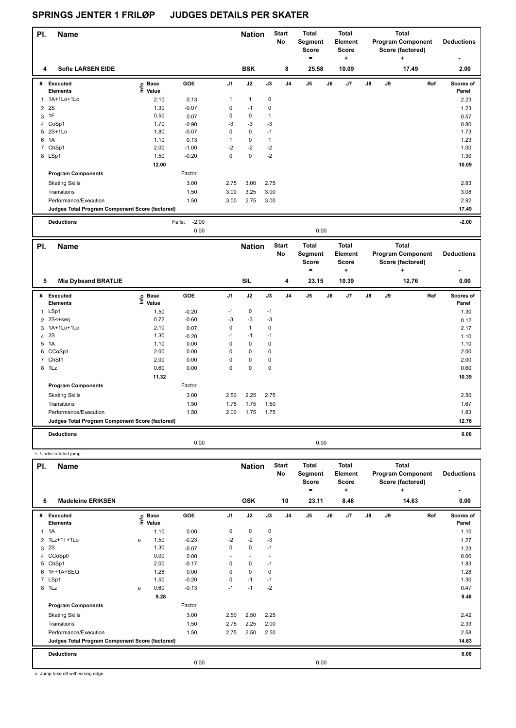| PI.            | <b>Name</b>                                     |                   |                   |                | <b>Nation</b> |              | <b>Start</b><br><b>No</b> | <b>Total</b><br>Segment<br><b>Score</b><br>۰ | <b>Total</b><br>Element<br>Score<br>÷ |               |    | <b>Total</b><br><b>Program Component</b><br>Score (factored)<br>$\ddot{}$ | <b>Deductions</b>  |
|----------------|-------------------------------------------------|-------------------|-------------------|----------------|---------------|--------------|---------------------------|----------------------------------------------|---------------------------------------|---------------|----|---------------------------------------------------------------------------|--------------------|
| 4              | <b>Sofie LARSEN EIDE</b>                        |                   |                   |                | <b>BSK</b>    |              | 8                         | 25.58                                        | 10.09                                 |               |    | 17.49                                                                     | 2.00               |
|                | # Executed<br><b>Elements</b>                   | e Base<br>E Value | GOE               | J <sub>1</sub> | J2            | J3           | J <sub>4</sub>            | J <sub>5</sub>                               | J <sub>7</sub><br>J6                  | $\mathsf{J}8$ | J9 | Ref                                                                       | Scores of<br>Panel |
|                | 1 1A+1Lo+1Lo                                    | 2.10              | 0.13              | $\mathbf{1}$   | $\mathbf{1}$  | $\mathbf 0$  |                           |                                              |                                       |               |    |                                                                           | 2.23               |
| $\overline{2}$ | 2S                                              | 1.30              | $-0.07$           | 0              | $-1$          | $\mathbf 0$  |                           |                                              |                                       |               |    |                                                                           | 1.23               |
| 3              | 1F                                              | 0.50              | 0.07              | 0              | 0             | $\mathbf{1}$ |                           |                                              |                                       |               |    |                                                                           | 0.57               |
|                | 4 CoSp1                                         | 1.70              | $-0.90$           | $-3$           | $-3$          | $-3$         |                           |                                              |                                       |               |    |                                                                           | 0.80               |
|                | 5 2S+1Lo                                        | 1.80              | $-0.07$           | 0              | $\mathbf 0$   | $-1$         |                           |                                              |                                       |               |    |                                                                           | 1.73               |
| 6              | 1A                                              | 1.10              | 0.13              | $\mathbf{1}$   | $\pmb{0}$     | $\mathbf{1}$ |                           |                                              |                                       |               |    |                                                                           | 1.23               |
|                | 7 ChSp1                                         | 2.00              | $-1.00$           | $-2$           | $-2$          | $-2$         |                           |                                              |                                       |               |    |                                                                           | 1.00               |
|                | 8 LSp1                                          | 1.50              | $-0.20$           | $\Omega$       | $\mathbf 0$   | $-2$         |                           |                                              |                                       |               |    |                                                                           | 1.30               |
|                |                                                 | 12.00             |                   |                |               |              |                           |                                              |                                       |               |    |                                                                           | 10.09              |
|                | <b>Program Components</b>                       |                   | Factor            |                |               |              |                           |                                              |                                       |               |    |                                                                           |                    |
|                | <b>Skating Skills</b>                           |                   | 3.00              | 2.75           | 3.00          | 2.75         |                           |                                              |                                       |               |    |                                                                           | 2.83               |
|                | Transitions                                     |                   | 1.50              | 3.00           | 3.25          | 3.00         |                           |                                              |                                       |               |    |                                                                           | 3.08               |
|                | Performance/Execution                           |                   | 1.50              | 3.00           | 2.75          | 3.00         |                           |                                              |                                       |               |    |                                                                           | 2.92               |
|                | Judges Total Program Component Score (factored) |                   |                   |                |               |              |                           |                                              |                                       |               |    |                                                                           | 17.49              |
|                | <b>Deductions</b>                               |                   | $-2.00$<br>Falls: |                |               |              |                           |                                              |                                       |               |    |                                                                           | $-2.00$            |
|                |                                                 |                   | 0,00              |                |               |              |                           | 0,00                                         |                                       |               |    |                                                                           |                    |
| PI.            | <b>Name</b>                                     |                   |                   |                | <b>Nation</b> |              | <b>Start</b><br>No        | <b>Total</b><br>Segment<br>Score<br>$=$      | <b>Total</b><br>Element<br>Score<br>٠ |               |    | <b>Total</b><br><b>Program Component</b><br>Score (factored)<br>٠         | <b>Deductions</b>  |

| 5 | <b>Mia Dybsand BRATLIE</b>                      |                            |         |                | <b>SIL</b>   |      | 4              | 23.15          |      | 10.39 |               |    | 12.76 |     | 0.00               |
|---|-------------------------------------------------|----------------------------|---------|----------------|--------------|------|----------------|----------------|------|-------|---------------|----|-------|-----|--------------------|
| # | <b>Executed</b><br><b>Elements</b>              | © Base<br>E Value<br>Value | GOE     | J <sub>1</sub> | J2           | J3   | J <sub>4</sub> | J <sub>5</sub> | J6   | J7    | $\mathsf{J}8$ | J9 |       | Ref | Scores of<br>Panel |
|   | 1 LSp1                                          | 1.50                       | $-0.20$ | $-1$           | $\mathbf 0$  | $-1$ |                |                |      |       |               |    |       |     | 1.30               |
|   | $2$ 2S $\leq$ +seq                              | 0.72                       | $-0.60$ | $-3$           | $-3$         | -3   |                |                |      |       |               |    |       |     | 0.12               |
|   | 3 1A+1Lo+1Lo                                    | 2.10                       | 0.07    | 0              | $\mathbf{1}$ | 0    |                |                |      |       |               |    |       |     | 2.17               |
|   | 4 2 S                                           | 1.30                       | $-0.20$ | $-1$           | $-1$         | $-1$ |                |                |      |       |               |    |       |     | 1.10               |
|   | 5 1A                                            | 1.10                       | 0.00    | 0              | 0            | 0    |                |                |      |       |               |    |       |     | 1.10               |
|   | 6 CCoSp1                                        | 2.00                       | 0.00    | 0              | $\mathbf 0$  | 0    |                |                |      |       |               |    |       |     | 2.00               |
|   | 7 ChSt1                                         | 2.00                       | 0.00    | 0              | $\mathbf 0$  | 0    |                |                |      |       |               |    |       |     | 2.00               |
|   | 8 1Lz                                           | 0.60                       | 0.00    | 0              | $\pmb{0}$    | 0    |                |                |      |       |               |    |       |     | 0.60               |
|   |                                                 | 11.32                      |         |                |              |      |                |                |      |       |               |    |       |     | 10.39              |
|   | <b>Program Components</b>                       |                            | Factor  |                |              |      |                |                |      |       |               |    |       |     |                    |
|   | <b>Skating Skills</b>                           |                            | 3.00    | 2.50           | 2.25         | 2.75 |                |                |      |       |               |    |       |     | 2.50               |
|   | Transitions                                     |                            | 1.50    | 1.75           | 1.75         | 1.50 |                |                |      |       |               |    |       |     | 1.67               |
|   | Performance/Execution                           |                            | 1.50    | 2.00           | 1.75         | 1.75 |                |                |      |       |               |    |       |     | 1.83               |
|   | Judges Total Program Component Score (factored) |                            |         |                |              |      |                |                |      |       |               |    |       |     | 12.76              |
|   | <b>Deductions</b>                               |                            |         |                |              |      |                |                |      |       |               |    |       |     | 0.00               |
|   |                                                 |                            | 0,00    |                |              |      |                |                | 0,00 |       |               |    |       |     |                    |

**Name Deductions - Nation Total Pl. Start Segment Score = Total Element Score + Total Program Component Score (factored) + No # Executed Elements Base Value GOE J1 J2 J3 J4 J5 J6 J7 J8 J9 Scores of Panel** 1 1.10 0.00 0 0 0 **Ref**  1A 1.10 **Info 6 Madeleine ERIKSEN OSK 10 23.11 8.48 14.63 0.00** 2 1Lz+1T+1Lo e 1.50 -0.23 -2 -2 -3 1.27  $3 \t2S$  1.30  $-0.07$  0 0  $-1$  1.23 4 CCoSp0 0.00 0.00 - - - 0.00 5 ChSp1 2.00 -0.17 0 0 -1 1.83 6 1F+1A+SEQ 1.28 0.00 0 0 0 1.28 7 LSp1 1.50 -0.20 0 -1 -1 1.30 8 1Lz e 0.60 -0.13 -1 -1 -2 0.47  **9.28 8.48 Program Components**  Skating Skills 2.50 2.25 Factor 3.00 2.42 Transitions 1.50 2.75 2.25 2.00 2.33 Performance/Execution 2.58 2.58 2.75 2.75 2.50 2.75 2.50 2.50 2.50 2.58 **Deductions 0.00 Judges Total Program Component Score (factored) 14.63** 0,00 0,00

e Jump take off with wrong edge

< Under-rotated jump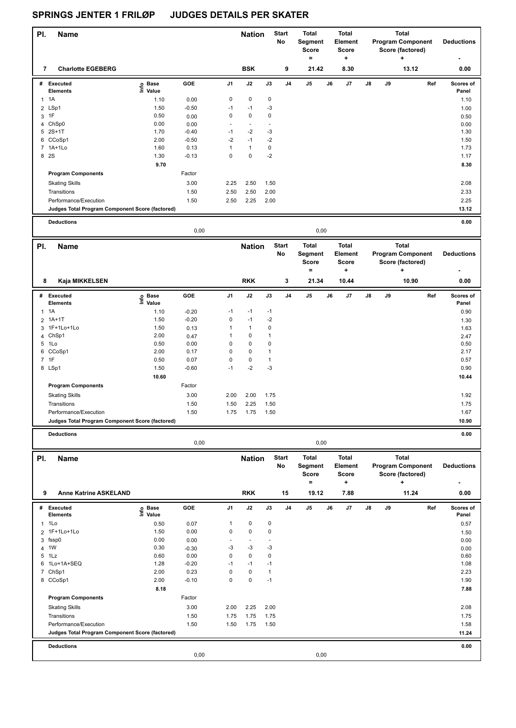| PI.            | Name                                            |                            |                 |              | <b>Nation</b>            |                   | <b>Start</b><br>No | Total<br>Segment<br>Score<br>$=$ |      | <b>Total</b><br>Element<br><b>Score</b><br>+ | Total<br><b>Program Component</b><br>Score (factored)<br>+ |    |                          | <b>Deductions</b> |
|----------------|-------------------------------------------------|----------------------------|-----------------|--------------|--------------------------|-------------------|--------------------|----------------------------------|------|----------------------------------------------|------------------------------------------------------------|----|--------------------------|-------------------|
| 7              | <b>Charlotte EGEBERG</b>                        |                            |                 |              | <b>BSK</b>               |                   | 9                  | 21.42                            |      | 8.30                                         |                                                            |    | 13.12                    | 0.00              |
|                | # Executed                                      | e Base<br>E Value<br>Value | GOE             | J1           | J2                       | J3                | J4                 | J5                               | J6   | J7                                           | J8                                                         | J9 | Ref                      | Scores of         |
| $\mathbf{1}$   | <b>Elements</b><br>1A                           |                            |                 | 0            | $\pmb{0}$                | 0                 |                    |                                  |      |                                              |                                                            |    |                          | Panel             |
|                | 2 LSp1                                          | 1.10<br>1.50               | 0.00<br>$-0.50$ | $-1$         | $-1$                     | $-3$              |                    |                                  |      |                                              |                                                            |    |                          | 1.10              |
| 3              | 1F                                              | 0.50                       |                 | 0            | $\pmb{0}$                | 0                 |                    |                                  |      |                                              |                                                            |    |                          | 1.00              |
| 4              | ChSp0                                           | 0.00                       | 0.00<br>0.00    | ÷,           | $\blacksquare$           | ÷,                |                    |                                  |      |                                              |                                                            |    |                          | 0.50<br>0.00      |
| 5              | $2S+1T$                                         | 1.70                       | $-0.40$         | $-1$         | $-2$                     | $-3$              |                    |                                  |      |                                              |                                                            |    |                          | 1.30              |
|                | 6 CCoSp1                                        | 2.00                       | $-0.50$         | $-2$         | $-1$                     | $-2$              |                    |                                  |      |                                              |                                                            |    |                          | 1.50              |
|                | 7 1A+1Lo                                        | 1.60                       | 0.13            | $\mathbf{1}$ | $\mathbf{1}$             | $\pmb{0}$         |                    |                                  |      |                                              |                                                            |    |                          | 1.73              |
|                | 8 2S                                            | 1.30                       | $-0.13$         | 0            | $\pmb{0}$                | $-2$              |                    |                                  |      |                                              |                                                            |    |                          | 1.17              |
|                |                                                 | 9.70                       |                 |              |                          |                   |                    |                                  |      |                                              |                                                            |    |                          | 8.30              |
|                | <b>Program Components</b>                       |                            | Factor          |              |                          |                   |                    |                                  |      |                                              |                                                            |    |                          |                   |
|                | <b>Skating Skills</b>                           |                            | 3.00            | 2.25         | 2.50                     | 1.50              |                    |                                  |      |                                              |                                                            |    |                          | 2.08              |
|                | Transitions                                     |                            | 1.50            | 2.50         | 2.50                     | 2.00              |                    |                                  |      |                                              |                                                            |    |                          | 2.33              |
|                | Performance/Execution                           |                            | 1.50            | 2.50         | 2.25                     | 2.00              |                    |                                  |      |                                              |                                                            |    |                          | 2.25              |
|                | Judges Total Program Component Score (factored) |                            |                 |              |                          |                   |                    |                                  |      |                                              |                                                            |    |                          | 13.12             |
|                |                                                 |                            |                 |              |                          |                   |                    |                                  |      |                                              |                                                            |    |                          |                   |
|                | <b>Deductions</b>                               |                            | 0,00            |              |                          |                   |                    |                                  | 0,00 |                                              |                                                            |    |                          | 0.00              |
|                |                                                 |                            |                 |              |                          |                   |                    |                                  |      |                                              |                                                            |    |                          |                   |
| PI.            | Name                                            |                            |                 |              | <b>Nation</b>            |                   | <b>Start</b>       | <b>Total</b>                     |      | <b>Total</b>                                 |                                                            |    | <b>Total</b>             |                   |
|                |                                                 |                            |                 |              |                          |                   | No                 | Segment<br>Score                 |      | Element<br>Score                             |                                                            |    | <b>Program Component</b> | <b>Deductions</b> |
|                |                                                 |                            |                 |              |                          |                   |                    | $\equiv$                         |      | +                                            |                                                            |    | Score (factored)<br>٠    |                   |
|                |                                                 |                            |                 |              |                          |                   |                    |                                  |      |                                              |                                                            |    |                          |                   |
| 8              | Kaja MIKKELSEN                                  |                            |                 |              | <b>RKK</b>               |                   | 3                  | 21.34                            |      | 10.44                                        |                                                            |    | 10.90                    | 0.00              |
|                | # Executed                                      | e Base<br>E Value          | GOE             | J1           | J2                       | J3                | J4                 | J5                               | J6   | J7                                           | J8                                                         | J9 | Ref                      | Scores of         |
|                | <b>Elements</b>                                 | Value                      |                 |              |                          |                   |                    |                                  |      |                                              |                                                            |    |                          | Panel             |
|                | $1 \t1A$                                        | 1.10                       | $-0.20$         | $-1$         | $-1$                     | $-1$              |                    |                                  |      |                                              |                                                            |    |                          | 0.90              |
| $\overline{2}$ | $1A+1T$                                         | 1.50                       | $-0.20$         | 0            | $-1$                     | $-2$              |                    |                                  |      |                                              |                                                            |    |                          | 1.30              |
|                | 3 1F+1Lo+1Lo                                    | 1.50                       | 0.13            | 1            | $\mathbf{1}$             | $\pmb{0}$         |                    |                                  |      |                                              |                                                            |    |                          | 1.63              |
|                | 4 ChSp1                                         | 2.00                       | 0.47            | 1            | $\pmb{0}$                | $\mathbf{1}$      |                    |                                  |      |                                              |                                                            |    |                          | 2.47              |
|                | 5 1Lo                                           | 0.50                       | 0.00            | 0            | $\pmb{0}$                | 0                 |                    |                                  |      |                                              |                                                            |    |                          | 0.50              |
|                | 6 CCoSp1                                        | 2.00                       | 0.17            | 0            | $\pmb{0}$                | $\mathbf{1}$      |                    |                                  |      |                                              |                                                            |    |                          | 2.17              |
|                | 7 1F                                            | 0.50                       | 0.07            | 0            | $\pmb{0}$                | $\mathbf{1}$      |                    |                                  |      |                                              |                                                            |    |                          | 0.57              |
|                | 8 LSp1                                          | 1.50                       | $-0.60$         | $-1$         | $-2$                     | $-3$              |                    |                                  |      |                                              |                                                            |    |                          | 0.90              |
|                |                                                 | 10.60                      |                 |              |                          |                   |                    |                                  |      |                                              |                                                            |    |                          | 10.44             |
|                | <b>Program Components</b>                       |                            | Factor          |              |                          |                   |                    |                                  |      |                                              |                                                            |    |                          |                   |
|                | <b>Skating Skills</b>                           |                            | 3.00            | 2.00         | 2.00                     | 1.75              |                    |                                  |      |                                              |                                                            |    |                          | 1.92              |
|                | Transitions                                     |                            | 1.50            | 1.50         | 2.25                     | 1.50              |                    |                                  |      |                                              |                                                            |    |                          | 1.75              |
|                | Performance/Execution                           |                            | 1.50            | 1.75         | 1.75                     | 1.50              |                    |                                  |      |                                              |                                                            |    |                          | 1.67              |
|                | Judges Total Program Component Score (factored) |                            |                 |              |                          |                   |                    |                                  |      |                                              |                                                            |    |                          | 10.90             |
|                | <b>Deductions</b>                               |                            |                 |              |                          |                   |                    |                                  |      |                                              |                                                            |    |                          | 0.00              |
|                |                                                 |                            | 0,00            |              |                          |                   |                    |                                  | 0,00 |                                              |                                                            |    |                          |                   |
|                |                                                 |                            |                 |              |                          |                   |                    |                                  |      |                                              |                                                            |    |                          |                   |
| PI.            | <b>Name</b>                                     |                            |                 |              | <b>Nation</b>            |                   | <b>Start</b>       | <b>Total</b>                     |      | <b>Total</b>                                 |                                                            |    | <b>Total</b>             |                   |
|                |                                                 |                            |                 |              |                          |                   | No                 | Segment                          |      | Element                                      |                                                            |    | <b>Program Component</b> | <b>Deductions</b> |
|                |                                                 |                            |                 |              |                          |                   |                    | <b>Score</b><br>$\equiv$         |      | <b>Score</b><br>÷                            |                                                            |    | Score (factored)         |                   |
|                |                                                 |                            |                 |              |                          |                   |                    |                                  |      |                                              |                                                            |    |                          |                   |
| 9              | <b>Anne Katrine ASKELAND</b>                    |                            |                 |              | <b>RKK</b>               |                   | 15                 | 19.12                            |      | 7.88                                         |                                                            |    | 11.24                    | 0.00              |
|                | # Executed                                      | e Base<br>⊑ Value          | GOE             | J1           | J2                       | $\mathsf{J3}$     | J4                 | $\mathsf{J}5$                    | J6   | J7                                           | J8                                                         | J9 | Ref                      | Scores of         |
|                | <b>Elements</b>                                 |                            |                 |              |                          |                   |                    |                                  |      |                                              |                                                            |    |                          | Panel             |
| 1              | 1Lo                                             | 0.50                       | 0.07            | 1            | 0                        | 0                 |                    |                                  |      |                                              |                                                            |    |                          | 0.57              |
| $\overline{2}$ | 1F+1Lo+1Lo                                      | 1.50                       | 0.00            | 0            | $\pmb{0}$                | 0                 |                    |                                  |      |                                              |                                                            |    |                          | 1.50              |
|                | 3 fssp0                                         | 0.00                       | 0.00            |              | $\overline{\phantom{a}}$ |                   |                    |                                  |      |                                              |                                                            |    |                          | 0.00              |
| 4              | 1W                                              | 0.30                       | $-0.30$         | -3           | -3                       | -3                |                    |                                  |      |                                              |                                                            |    |                          | 0.00              |
| 6              | 5 1Lz<br>1Lo+1A+SEQ                             | 0.60<br>1.28               | 0.00<br>$-0.20$ | 0<br>$-1$    | $\pmb{0}$<br>$-1$        | $\pmb{0}$<br>$-1$ |                    |                                  |      |                                              |                                                            |    |                          | 0.60<br>1.08      |
|                | 7 ChSp1                                         | 2.00                       | 0.23            | 0            | $\pmb{0}$                | $\mathbf{1}$      |                    |                                  |      |                                              |                                                            |    |                          | 2.23              |
|                | 8 CCoSp1                                        | 2.00                       | $-0.10$         | $\mathbf 0$  | 0                        | $-1$              |                    |                                  |      |                                              |                                                            |    |                          | 1.90              |
|                |                                                 | 8.18                       |                 |              |                          |                   |                    |                                  |      |                                              |                                                            |    |                          | 7.88              |
|                | <b>Program Components</b>                       |                            | Factor          |              |                          |                   |                    |                                  |      |                                              |                                                            |    |                          |                   |
|                |                                                 |                            |                 |              |                          |                   |                    |                                  |      |                                              |                                                            |    |                          |                   |
|                | <b>Skating Skills</b>                           |                            | 3.00            | 2.00         | 2.25                     | 2.00              |                    |                                  |      |                                              |                                                            |    |                          | 2.08              |
|                | Transitions                                     |                            | 1.50            | 1.75         | 1.75                     | 1.75              |                    |                                  |      |                                              |                                                            |    |                          | 1.75              |
|                | Performance/Execution                           |                            | 1.50            | 1.50         | 1.75                     | 1.50              |                    |                                  |      |                                              |                                                            |    |                          | 1.58<br>11.24     |
|                | Judges Total Program Component Score (factored) |                            |                 |              |                          |                   |                    |                                  |      |                                              |                                                            |    |                          |                   |
|                | <b>Deductions</b>                               |                            |                 |              |                          |                   |                    |                                  |      |                                              |                                                            |    |                          | 0.00              |
|                |                                                 |                            | 0,00            |              |                          |                   |                    |                                  | 0,00 |                                              |                                                            |    |                          |                   |
|                |                                                 |                            |                 |              |                          |                   |                    |                                  |      |                                              |                                                            |    |                          |                   |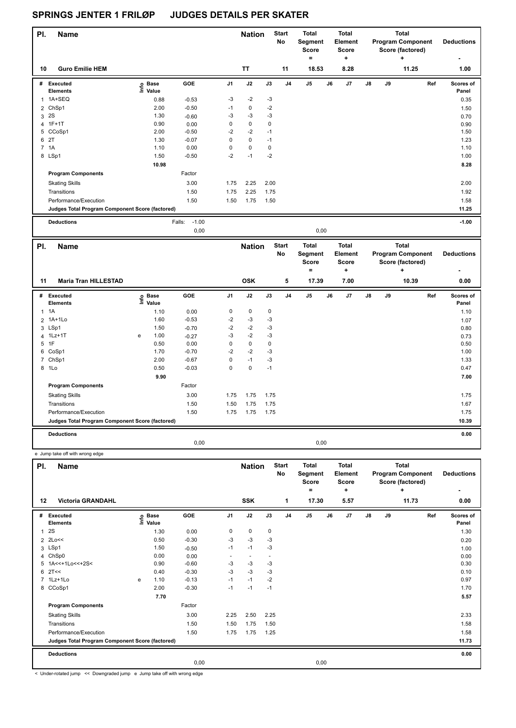| PI. | <b>Name</b>                                     |                   |                   |                | <b>Nation</b> |      | <b>Start</b><br>No | Total<br>Segment<br><b>Score</b><br>= |    | <b>Total</b><br>Element<br><b>Score</b><br>٠ |    |    | <b>Total</b><br><b>Program Component</b><br>Score (factored)<br>٠ | <b>Deductions</b>         |
|-----|-------------------------------------------------|-------------------|-------------------|----------------|---------------|------|--------------------|---------------------------------------|----|----------------------------------------------|----|----|-------------------------------------------------------------------|---------------------------|
| 10  | <b>Guro Emilie HEM</b>                          |                   |                   |                | <b>TT</b>     |      | 11                 | 18.53                                 |    | 8.28                                         |    |    | 11.25                                                             | 1.00                      |
| #   | Executed<br><b>Elements</b>                     | e Base<br>E Value | GOE               | J <sub>1</sub> | J2            | J3   | J <sub>4</sub>     | J <sub>5</sub>                        | J6 | J <sub>7</sub>                               | J8 | J9 | Ref                                                               | <b>Scores of</b><br>Panel |
| 1   | 1A+SEQ                                          | 0.88              | $-0.53$           | $-3$           | $-2$          | -3   |                    |                                       |    |                                              |    |    |                                                                   | 0.35                      |
|     | 2 ChSp1                                         | 2.00              | $-0.50$           | $-1$           | 0             | $-2$ |                    |                                       |    |                                              |    |    |                                                                   | 1.50                      |
| 3   | <b>2S</b>                                       | 1.30              | $-0.60$           | -3             | $-3$          | -3   |                    |                                       |    |                                              |    |    |                                                                   | 0.70                      |
|     | 4 1F+1T                                         | 0.90              | 0.00              | 0              | $\pmb{0}$     | 0    |                    |                                       |    |                                              |    |    |                                                                   | 0.90                      |
|     | 5 CCoSp1                                        | 2.00              | $-0.50$           | $-2$           | $-2$          | $-1$ |                    |                                       |    |                                              |    |    |                                                                   | 1.50                      |
|     | 6 2T                                            | 1.30              | $-0.07$           | $\mathbf 0$    | 0             | $-1$ |                    |                                       |    |                                              |    |    |                                                                   | 1.23                      |
|     | 7 1A                                            | 1.10              | 0.00              | $\mathbf 0$    | $\mathbf 0$   | 0    |                    |                                       |    |                                              |    |    |                                                                   | 1.10                      |
|     | 8 LSp1                                          | 1.50              | $-0.50$           | $-2$           | $-1$          | $-2$ |                    |                                       |    |                                              |    |    |                                                                   | 1.00                      |
|     |                                                 | 10.98             |                   |                |               |      |                    |                                       |    |                                              |    |    |                                                                   | 8.28                      |
|     | <b>Program Components</b>                       |                   | Factor            |                |               |      |                    |                                       |    |                                              |    |    |                                                                   |                           |
|     | <b>Skating Skills</b>                           |                   | 3.00              | 1.75           | 2.25          | 2.00 |                    |                                       |    |                                              |    |    |                                                                   | 2.00                      |
|     | Transitions                                     |                   | 1.50              | 1.75           | 2.25          | 1.75 |                    |                                       |    |                                              |    |    |                                                                   | 1.92                      |
|     | Performance/Execution                           |                   | 1.50              | 1.50           | 1.75          | 1.50 |                    |                                       |    |                                              |    |    |                                                                   | 1.58                      |
|     | Judges Total Program Component Score (factored) |                   |                   |                |               |      |                    |                                       |    |                                              |    |    |                                                                   | 11.25                     |
|     | <b>Deductions</b>                               |                   | $-1.00$<br>Falls: |                |               |      |                    |                                       |    |                                              |    |    |                                                                   | $-1.00$                   |

0,00 0,00

| PI.            | <b>Name</b>                                     |    |                      |         |                | <b>Nation</b> |      | <b>Start</b><br>No | Total<br>Segment<br><b>Score</b><br>۰ |      | Total<br>Element<br>Score<br>٠ |               |    | Total<br><b>Program Component</b><br>Score (factored)<br>٠ | <b>Deductions</b><br>۰    |
|----------------|-------------------------------------------------|----|----------------------|---------|----------------|---------------|------|--------------------|---------------------------------------|------|--------------------------------|---------------|----|------------------------------------------------------------|---------------------------|
| 11             | <b>Maria Tran HILLESTAD</b>                     |    |                      |         |                | <b>OSK</b>    |      | 5                  | 17.39                                 |      | 7.00                           |               |    | 10.39                                                      | 0.00                      |
| #              | <b>Executed</b><br><b>Elements</b>              | ١m | <b>Base</b><br>Value | GOE     | J <sub>1</sub> | J2            | J3   | J <sub>4</sub>     | J <sub>5</sub>                        | J6   | J <sub>7</sub>                 | $\mathsf{J}8$ | J9 | Ref                                                        | <b>Scores of</b><br>Panel |
| $\mathbf{1}$   | 1A                                              |    | 1.10                 | 0.00    | 0              | $\mathbf 0$   | 0    |                    |                                       |      |                                |               |    |                                                            | 1.10                      |
| $\overline{2}$ | 1A+1Lo                                          |    | 1.60                 | $-0.53$ | $-2$           | $-3$          | $-3$ |                    |                                       |      |                                |               |    |                                                            | 1.07                      |
|                | 3 LSp1                                          |    | 1.50                 | $-0.70$ | $-2$           | $-2$          | $-3$ |                    |                                       |      |                                |               |    |                                                            | 0.80                      |
| 4              | $1Lz+1T$                                        | e  | 1.00                 | $-0.27$ | $-3$           | $-2$          | $-3$ |                    |                                       |      |                                |               |    |                                                            | 0.73                      |
| 5              | 1F                                              |    | 0.50                 | 0.00    | 0              | $\mathbf 0$   | 0    |                    |                                       |      |                                |               |    |                                                            | 0.50                      |
|                | 6 CoSp1                                         |    | 1.70                 | $-0.70$ | $-2$           | $-2$          | $-3$ |                    |                                       |      |                                |               |    |                                                            | 1.00                      |
| $\overline{7}$ | ChSp1                                           |    | 2.00                 | $-0.67$ | 0              | $-1$          | $-3$ |                    |                                       |      |                                |               |    |                                                            | 1.33                      |
|                | 8 1Lo                                           |    | 0.50                 | $-0.03$ | 0              | $\mathbf 0$   | $-1$ |                    |                                       |      |                                |               |    |                                                            | 0.47                      |
|                |                                                 |    | 9.90                 |         |                |               |      |                    |                                       |      |                                |               |    |                                                            | 7.00                      |
|                | <b>Program Components</b>                       |    |                      | Factor  |                |               |      |                    |                                       |      |                                |               |    |                                                            |                           |
|                | <b>Skating Skills</b>                           |    |                      | 3.00    | 1.75           | 1.75          | 1.75 |                    |                                       |      |                                |               |    |                                                            | 1.75                      |
|                | Transitions                                     |    |                      | 1.50    | 1.50           | 1.75          | 1.75 |                    |                                       |      |                                |               |    |                                                            | 1.67                      |
|                | Performance/Execution                           |    |                      | 1.50    | 1.75           | 1.75          | 1.75 |                    |                                       |      |                                |               |    |                                                            | 1.75                      |
|                | Judges Total Program Component Score (factored) |    |                      |         |                |               |      |                    |                                       |      |                                |               |    |                                                            | 10.39                     |
|                | <b>Deductions</b>                               |    |                      |         |                |               |      |                    |                                       |      |                                |               |    |                                                            | 0.00                      |
|                |                                                 |    |                      | 0,00    |                |               |      |                    |                                       | 0,00 |                                |               |    |                                                            |                           |

|   | e Jump take off with wrong edge                      |   |                   |         |                |                             |        |                         |                                                       |      |                                               |               |    |                                                                            |                           |
|---|------------------------------------------------------|---|-------------------|---------|----------------|-----------------------------|--------|-------------------------|-------------------------------------------------------|------|-----------------------------------------------|---------------|----|----------------------------------------------------------------------------|---------------------------|
|   | <b>Name</b><br>PI.<br><b>Victoria GRANDAHL</b><br>12 |   |                   |         |                | <b>Nation</b><br><b>SSK</b> |        | <b>Start</b><br>No<br>1 | <b>Total</b><br>Segment<br><b>Score</b><br>۰<br>17.30 |      | <b>Total</b><br>Element<br>Score<br>٠<br>5.57 |               |    | <b>Total</b><br><b>Program Component</b><br>Score (factored)<br>٠<br>11.73 | <b>Deductions</b><br>0.00 |
|   |                                                      |   |                   |         |                |                             |        |                         |                                                       |      |                                               |               |    |                                                                            |                           |
| # | Executed<br><b>Elements</b>                          |   | e Base<br>E Value | GOE     | J <sub>1</sub> | J2                          | J3     | J <sub>4</sub>          | J <sub>5</sub>                                        | J6   | J7                                            | $\mathsf{J}8$ | J9 | Ref                                                                        | Scores of<br>Panel        |
| 1 | 2S                                                   |   | 1.30              | 0.00    | 0              | $\mathbf 0$                 | 0      |                         |                                                       |      |                                               |               |    |                                                                            | 1.30                      |
|   | 2 2Lo<<                                              |   | 0.50              | $-0.30$ | $-3$           | $-3$                        | $-3$   |                         |                                                       |      |                                               |               |    |                                                                            | 0.20                      |
| 3 | LSp1                                                 |   | 1.50              | $-0.50$ | $-1$           | $-1$                        | $-3$   |                         |                                                       |      |                                               |               |    |                                                                            | 1.00                      |
| 4 | ChSp0                                                |   | 0.00              | 0.00    | ٠              | $\sim$                      | $\sim$ |                         |                                                       |      |                                               |               |    |                                                                            | 0.00                      |
| 5 | 1A<<+1Lo<<+2S<                                       |   | 0.90              | $-0.60$ | $-3$           | $-3$                        | -3     |                         |                                                       |      |                                               |               |    |                                                                            | 0.30                      |
| 6 | 2T<<                                                 |   | 0.40              | $-0.30$ | -3             | -3                          | -3     |                         |                                                       |      |                                               |               |    |                                                                            | 0.10                      |
|   | 7 1Lz+1Lo                                            | e | 1.10              | $-0.13$ | $-1$           | $-1$                        | $-2$   |                         |                                                       |      |                                               |               |    |                                                                            | 0.97                      |
|   | 8 CCoSp1                                             |   | 2.00              | $-0.30$ | $-1$           | $-1$                        | $-1$   |                         |                                                       |      |                                               |               |    |                                                                            | 1.70                      |
|   |                                                      |   | 7.70              |         |                |                             |        |                         |                                                       |      |                                               |               |    |                                                                            | 5.57                      |
|   | <b>Program Components</b>                            |   |                   | Factor  |                |                             |        |                         |                                                       |      |                                               |               |    |                                                                            |                           |
|   | <b>Skating Skills</b>                                |   |                   | 3.00    | 2.25           | 2.50                        | 2.25   |                         |                                                       |      |                                               |               |    |                                                                            | 2.33                      |
|   | Transitions                                          |   |                   | 1.50    | 1.50           | 1.75                        | 1.50   |                         |                                                       |      |                                               |               |    |                                                                            | 1.58                      |
|   | Performance/Execution                                |   |                   | 1.50    | 1.75           | 1.75                        | 1.25   |                         |                                                       |      |                                               |               |    |                                                                            | 1.58                      |
|   | Judges Total Program Component Score (factored)      |   |                   |         |                |                             |        |                         |                                                       |      |                                               |               |    |                                                                            | 11.73                     |
|   | <b>Deductions</b>                                    |   |                   |         |                |                             |        |                         |                                                       |      |                                               |               |    |                                                                            | 0.00                      |
|   |                                                      |   |                   | 0,00    |                |                             |        |                         |                                                       | 0,00 |                                               |               |    |                                                                            |                           |

< Under-rotated jump << Downgraded jump e Jump take off with wrong edge